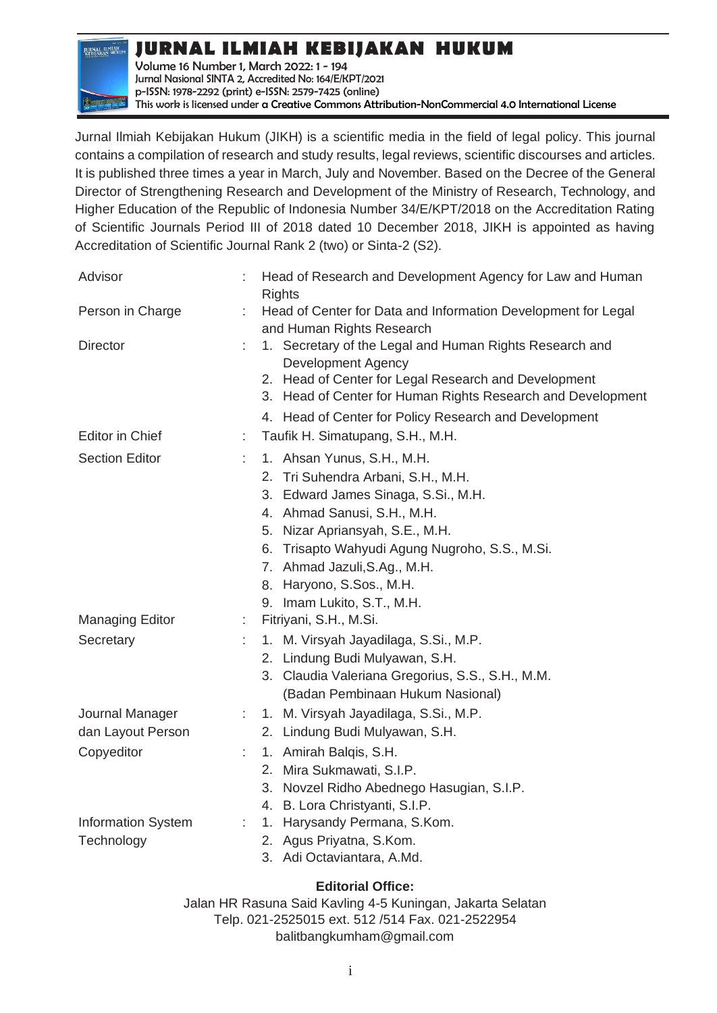**JURNAL ILMIAH**<br>KEBIJAKAN HUKUM

**JURNAL ILMIAH KEBIJAKAN HUKUM**

Volume 16 Number 1, March 2022: 1 - 194 Jurnal Nasional SINTA 2, Accredited No: 164/E/KPT/2021 p-ISSN: 1978-2292 (print) e-ISSN: 2579-7425 (online) This work is licensed under a [Creative Commons Attribution-NonCommercial 4.0 International License](https://creativecommons.org/licenses/by-nc/4.0/)

Jurnal Ilmiah Kebijakan Hukum (JIKH) is a scientific media in the field of legal policy. This journal contains a compilation of research and study results, legal reviews, scientific discourses and articles. It is published three times a year in March, July and November. Based on the Decree of the General Director of Strengthening Research and Development of the Ministry of Research, Technology, and Higher Education of the Republic of Indonesia Number 34/E/KPT/2018 on the Accreditation Rating of Scientific Journals Period III of 2018 dated 10 December 2018, JIKH is appointed as having Accreditation of Scientific Journal Rank 2 (two) or Sinta-2 (S2).

| Advisor                                         |    | Head of Research and Development Agency for Law and Human<br><b>Rights</b>                                                                                                                                                                                                                                                                      |
|-------------------------------------------------|----|-------------------------------------------------------------------------------------------------------------------------------------------------------------------------------------------------------------------------------------------------------------------------------------------------------------------------------------------------|
| Person in Charge                                | ÷. | Head of Center for Data and Information Development for Legal<br>and Human Rights Research                                                                                                                                                                                                                                                      |
| <b>Director</b>                                 |    | 1. Secretary of the Legal and Human Rights Research and<br><b>Development Agency</b><br>2. Head of Center for Legal Research and Development<br>3. Head of Center for Human Rights Research and Development<br>4. Head of Center for Policy Research and Development                                                                            |
| <b>Editor in Chief</b>                          | ÷. | Taufik H. Simatupang, S.H., M.H.                                                                                                                                                                                                                                                                                                                |
| <b>Section Editor</b><br><b>Managing Editor</b> |    | 1. Ahsan Yunus, S.H., M.H.<br>2. Tri Suhendra Arbani, S.H., M.H.<br>3. Edward James Sinaga, S.Si., M.H.<br>4. Ahmad Sanusi, S.H., M.H.<br>5. Nizar Apriansyah, S.E., M.H.<br>6. Trisapto Wahyudi Agung Nugroho, S.S., M.Si.<br>7. Ahmad Jazuli, S.Ag., M.H.<br>8. Haryono, S.Sos., M.H.<br>9. Imam Lukito, S.T., M.H.<br>Fitriyani, S.H., M.Si. |
|                                                 |    |                                                                                                                                                                                                                                                                                                                                                 |
| Secretary                                       |    | 1. M. Virsyah Jayadilaga, S.Si., M.P.<br>2. Lindung Budi Mulyawan, S.H.<br>3. Claudia Valeriana Gregorius, S.S., S.H., M.M.<br>(Badan Pembinaan Hukum Nasional)                                                                                                                                                                                 |
| Journal Manager                                 |    | 1. M. Virsyah Jayadilaga, S.Si., M.P.                                                                                                                                                                                                                                                                                                           |
| dan Layout Person                               |    | 2. Lindung Budi Mulyawan, S.H.                                                                                                                                                                                                                                                                                                                  |
| Copyeditor                                      |    | 1. Amirah Balqis, S.H.<br>2. Mira Sukmawati, S.I.P.<br>3. Novzel Ridho Abednego Hasugian, S.I.P.<br>4. B. Lora Christyanti, S.I.P.                                                                                                                                                                                                              |
| <b>Information System</b>                       |    | 1. Harysandy Permana, S.Kom.                                                                                                                                                                                                                                                                                                                    |
| Technology                                      |    | 2. Agus Priyatna, S.Kom.<br>3. Adi Octaviantara, A.Md.                                                                                                                                                                                                                                                                                          |

## **Editorial Office:**

Jalan HR Rasuna Said Kavling 4-5 Kuningan, Jakarta Selatan Telp. 021-2525015 ext. 512 /514 Fax. 021-2522954 [balitbangkumham@gmail.com](mailto:balitbangkumham@gmail.com)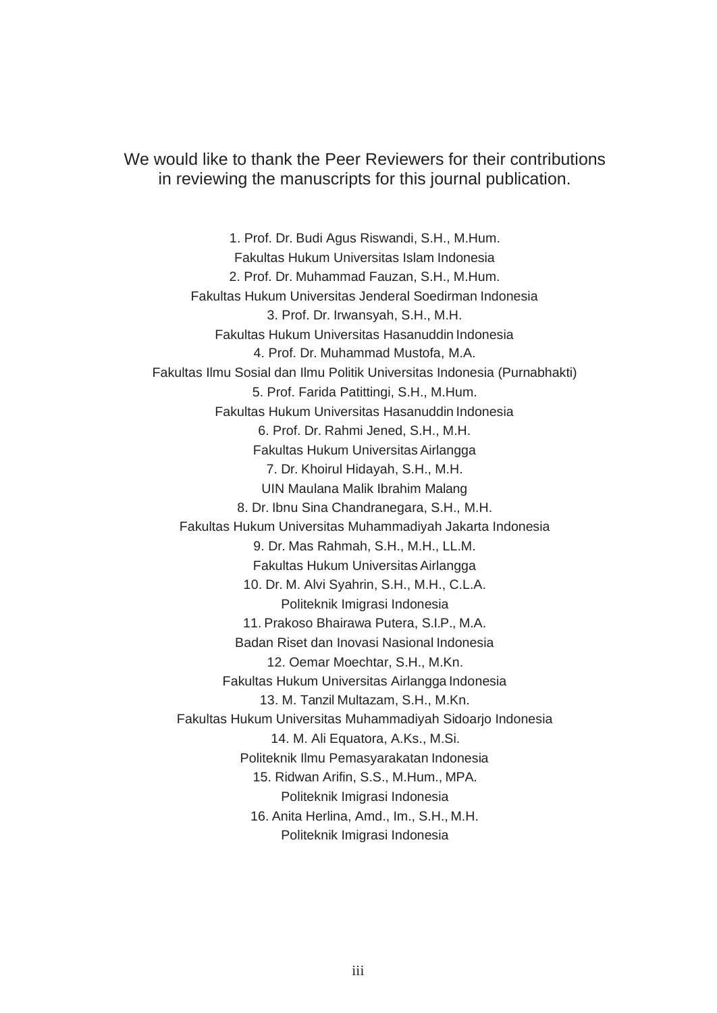We would like to thank the Peer Reviewers for their contributions in reviewing the manuscripts for this journal publication.

1. Prof. Dr. Budi Agus Riswandi, S.H., M.Hum. Fakultas Hukum Universitas Islam Indonesia 2. Prof. Dr. Muhammad Fauzan, S.H., M.Hum. Fakultas Hukum Universitas Jenderal Soedirman Indonesia 3. Prof. Dr. Irwansyah, S.H., M.H. Fakultas Hukum Universitas Hasanuddin Indonesia 4. Prof. Dr. Muhammad Mustofa, M.A. Fakultas Ilmu Sosial dan Ilmu Politik Universitas Indonesia (Purnabhakti) 5. Prof. Farida Patittingi, S.H., M.Hum. Fakultas Hukum Universitas Hasanuddin Indonesia 6. Prof. Dr. Rahmi Jened, S.H., M.H. Fakultas Hukum Universitas Airlangga 7. Dr. Khoirul Hidayah, S.H., M.H. UIN Maulana Malik Ibrahim Malang 8. Dr. Ibnu Sina Chandranegara, S.H., M.H. Fakultas Hukum Universitas Muhammadiyah Jakarta Indonesia 9. Dr. Mas Rahmah, S.H., M.H., LL.M. Fakultas Hukum Universitas Airlangga 10. Dr. M. Alvi Syahrin, S.H., M.H., C.L.A. Politeknik Imigrasi Indonesia 11. Prakoso Bhairawa Putera, S.I.P., M.A. Badan Riset dan Inovasi Nasional Indonesia 12. Oemar Moechtar, S.H., M.Kn. Fakultas Hukum Universitas Airlangga Indonesia 13. M. Tanzil Multazam, S.H., M.Kn. Fakultas Hukum Universitas Muhammadiyah Sidoarjo Indonesia 14. M. Ali Equatora, A.Ks., M.Si. Politeknik Ilmu Pemasyarakatan Indonesia 15. Ridwan Arifin, S.S., M.Hum., MPA. Politeknik Imigrasi Indonesia 16. Anita Herlina, Amd., Im., S.H., M.H. Politeknik Imigrasi Indonesia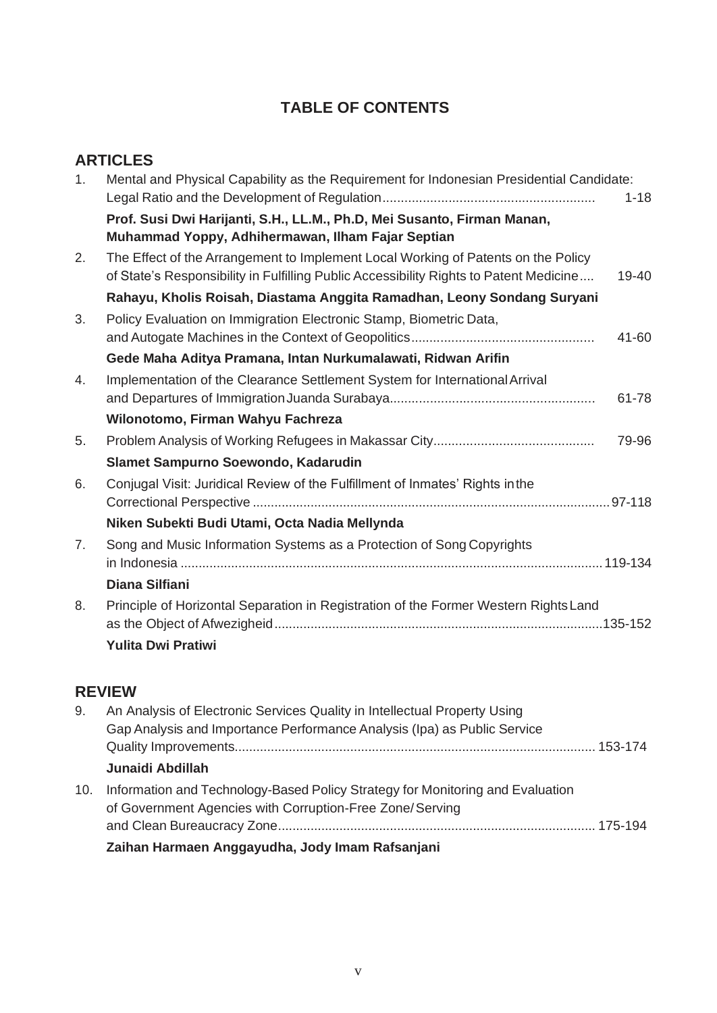# **TABLE OF CONTENTS**

# **ARTICLES**

| 1 <sub>1</sub> | Mental and Physical Capability as the Requirement for Indonesian Presidential Candidate:<br>$1 - 18$                                                                                 |
|----------------|--------------------------------------------------------------------------------------------------------------------------------------------------------------------------------------|
|                | Prof. Susi Dwi Harijanti, S.H., LL.M., Ph.D, Mei Susanto, Firman Manan,<br>Muhammad Yoppy, Adhihermawan, Ilham Fajar Septian                                                         |
| 2.             | The Effect of the Arrangement to Implement Local Working of Patents on the Policy<br>of State's Responsibility in Fulfilling Public Accessibility Rights to Patent Medicine<br>19-40 |
|                | Rahayu, Kholis Roisah, Diastama Anggita Ramadhan, Leony Sondang Suryani                                                                                                              |
| 3.             | Policy Evaluation on Immigration Electronic Stamp, Biometric Data,                                                                                                                   |
|                | 41-60                                                                                                                                                                                |
|                | Gede Maha Aditya Pramana, Intan Nurkumalawati, Ridwan Arifin                                                                                                                         |
| 4.             | Implementation of the Clearance Settlement System for International Arrival                                                                                                          |
|                | 61-78                                                                                                                                                                                |
|                | Wilonotomo, Firman Wahyu Fachreza                                                                                                                                                    |
| 5.             | 79-96                                                                                                                                                                                |
|                | Slamet Sampurno Soewondo, Kadarudin                                                                                                                                                  |
| 6.             | Conjugal Visit: Juridical Review of the Fulfillment of Inmates' Rights in the                                                                                                        |
|                |                                                                                                                                                                                      |
|                | Niken Subekti Budi Utami, Octa Nadia Mellynda                                                                                                                                        |
| 7 <sub>1</sub> | Song and Music Information Systems as a Protection of Song Copyrights                                                                                                                |
|                | Diana Silfiani                                                                                                                                                                       |
| 8.             | Principle of Horizontal Separation in Registration of the Former Western Rights Land                                                                                                 |
|                | <b>Yulita Dwi Pratiwi</b>                                                                                                                                                            |

# **REVIEW**

| 9.  | An Analysis of Electronic Services Quality in Intellectual Property Using<br>Gap Analysis and Importance Performance Analysis (Ipa) as Public Service |
|-----|-------------------------------------------------------------------------------------------------------------------------------------------------------|
|     | Junaidi Abdillah                                                                                                                                      |
| 10. | Information and Technology-Based Policy Strategy for Monitoring and Evaluation<br>of Government Agencies with Corruption-Free Zone/Serving            |
|     | Zaihan Harmaen Anggayudha, Jody Imam Rafsanjani                                                                                                       |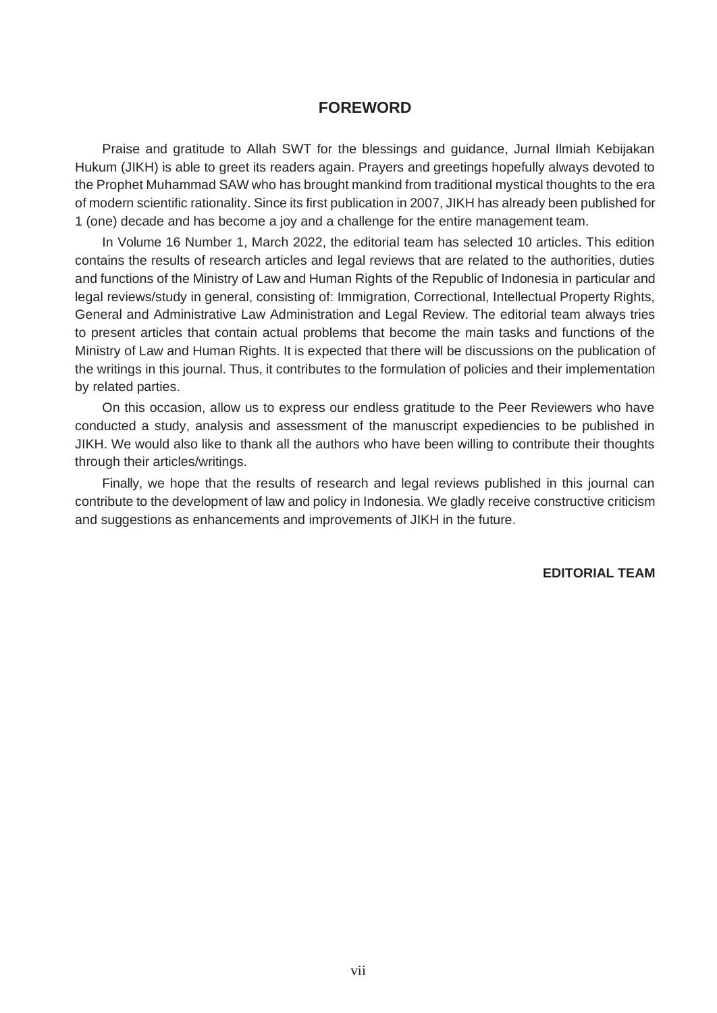## **FOREWORD**

Praise and gratitude to Allah SWT for the blessings and guidance, Jurnal Ilmiah Kebijakan Hukum (JIKH) is able to greet its readers again. Prayers and greetings hopefully always devoted to the Prophet Muhammad SAW who has brought mankind from traditional mystical thoughts to the era of modern scientific rationality. Since its first publication in 2007, JIKH has already been published for 1 (one) decade and has become a joy and a challenge for the entire management team.

In Volume 16 Number 1, March 2022, the editorial team has selected 10 articles. This edition contains the results of research articles and legal reviews that are related to the authorities, duties and functions of the Ministry of Law and Human Rights of the Republic of Indonesia in particular and legal reviews/study in general, consisting of: Immigration, Correctional, Intellectual Property Rights, General and Administrative Law Administration and Legal Review. The editorial team always tries to present articles that contain actual problems that become the main tasks and functions of the Ministry of Law and Human Rights. It is expected that there will be discussions on the publication of the writings in this journal. Thus, it contributes to the formulation of policies and their implementation by related parties.

On this occasion, allow us to express our endless gratitude to the Peer Reviewers who have conducted a study, analysis and assessment of the manuscript expediencies to be published in JIKH. We would also like to thank all the authors who have been willing to contribute their thoughts through their articles/writings.

Finally, we hope that the results of research and legal reviews published in this journal can contribute to the development of law and policy in Indonesia. We gladly receive constructive criticism and suggestions as enhancements and improvements of JIKH in the future.

**EDITORIAL TEAM**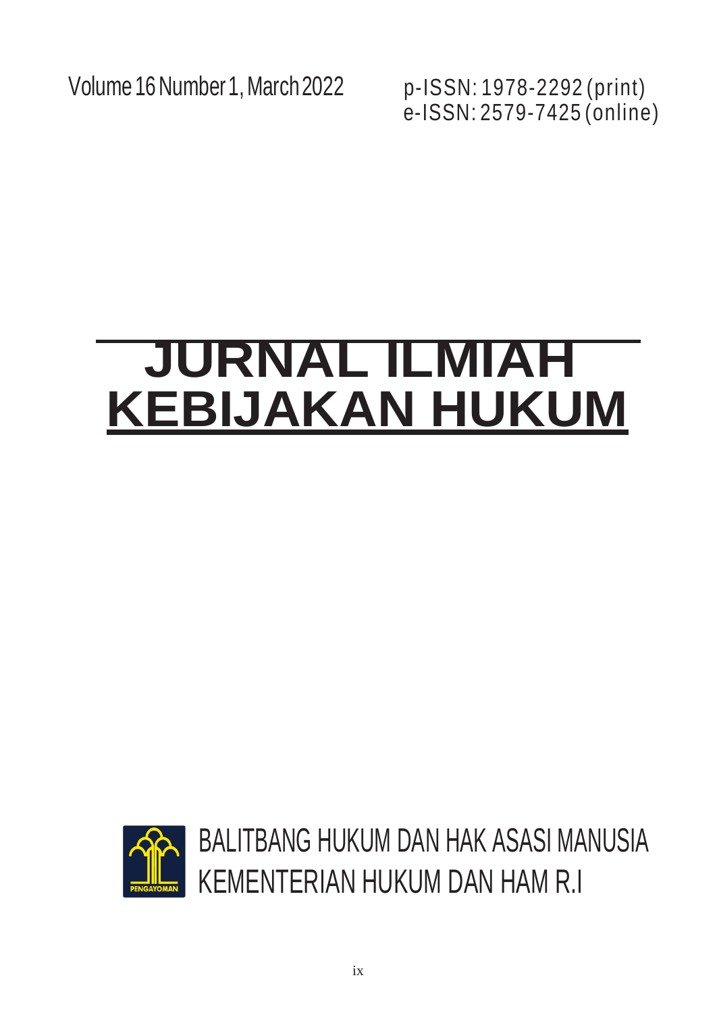Volume16Number 1,March2022 p-ISSN: 1978-2292 (print)

e-ISSN: 2579-7425 (online)

# **JURNAL ILMIAH KEBIJAKAN HUKUM**

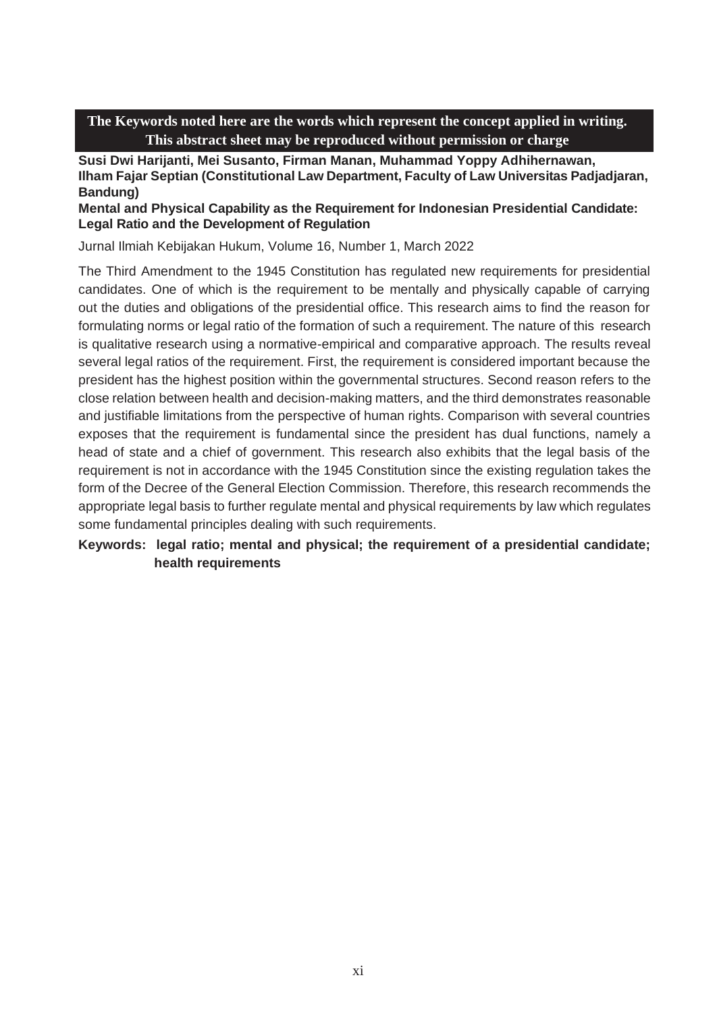**Susi Dwi Harijanti, Mei Susanto, Firman Manan, Muhammad Yoppy Adhihernawan, Ilham Fajar Septian (Constitutional Law Department, Faculty of Law Universitas Padjadjaran, Bandung)**

**Mental and Physical Capability as the Requirement for Indonesian Presidential Candidate: Legal Ratio and the Development of Regulation**

Jurnal Ilmiah Kebijakan Hukum, Volume 16, Number 1, March 2022

The Third Amendment to the 1945 Constitution has regulated new requirements for presidential candidates. One of which is the requirement to be mentally and physically capable of carrying out the duties and obligations of the presidential office. This research aims to find the reason for formulating norms or legal ratio of the formation of such a requirement. The nature of this research is qualitative research using a normative-empirical and comparative approach. The results reveal several legal ratios of the requirement. First, the requirement is considered important because the president has the highest position within the governmental structures. Second reason refers to the close relation between health and decision-making matters, and the third demonstrates reasonable and justifiable limitations from the perspective of human rights. Comparison with several countries exposes that the requirement is fundamental since the president has dual functions, namely a head of state and a chief of government. This research also exhibits that the legal basis of the requirement is not in accordance with the 1945 Constitution since the existing regulation takes the form of the Decree of the General Election Commission. Therefore, this research recommends the appropriate legal basis to further regulate mental and physical requirements by law which regulates some fundamental principles dealing with such requirements.

**Keywords: legal ratio; mental and physical; the requirement of a presidential candidate; health requirements**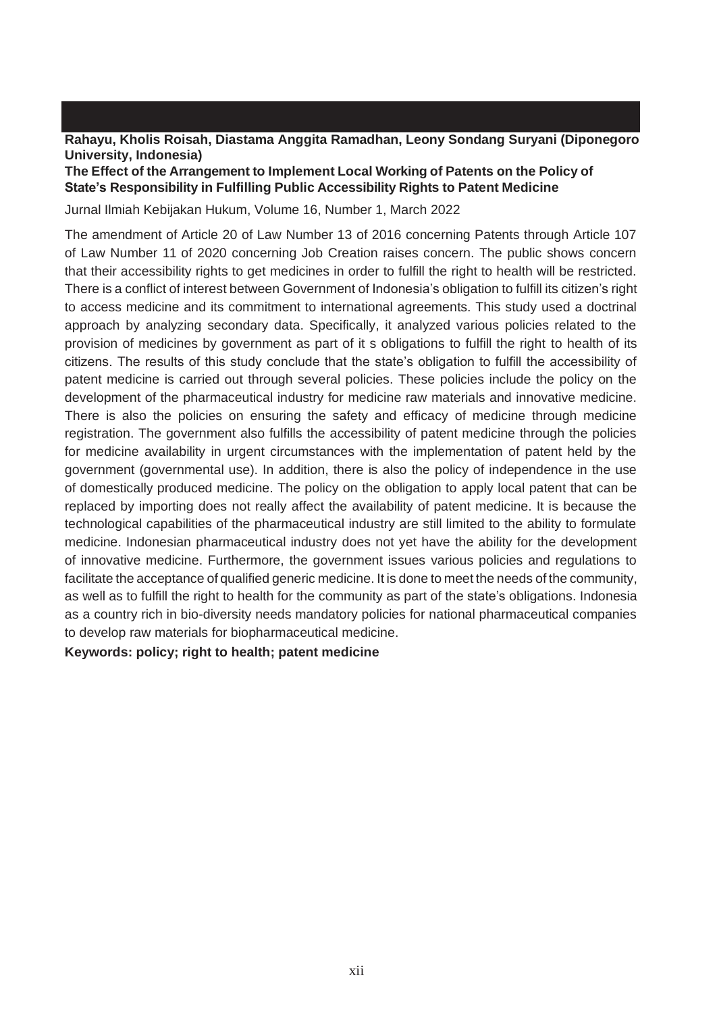#### **Rahayu, Kholis Roisah, Diastama Anggita Ramadhan, Leony Sondang Suryani (Diponegoro University, Indonesia)**

#### **The Effect of the Arrangement to Implement Local Working of Patents on the Policy of State's Responsibility in Fulfilling Public Accessibility Rights to Patent Medicine**

Jurnal Ilmiah Kebijakan Hukum, Volume 16, Number 1, March 2022

The amendment of Article 20 of Law Number 13 of 2016 concerning Patents through Article 107 of Law Number 11 of 2020 concerning Job Creation raises concern. The public shows concern that their accessibility rights to get medicines in order to fulfill the right to health will be restricted. There is a conflict of interest between Government of Indonesia's obligation to fulfill its citizen's right to access medicine and its commitment to international agreements. This study used a doctrinal approach by analyzing secondary data. Specifically, it analyzed various policies related to the provision of medicines by government as part of it s obligations to fulfill the right to health of its citizens. The results of this study conclude that the state's obligation to fulfill the accessibility of patent medicine is carried out through several policies. These policies include the policy on the development of the pharmaceutical industry for medicine raw materials and innovative medicine. There is also the policies on ensuring the safety and efficacy of medicine through medicine registration. The government also fulfills the accessibility of patent medicine through the policies for medicine availability in urgent circumstances with the implementation of patent held by the government (governmental use). In addition, there is also the policy of independence in the use of domestically produced medicine. The policy on the obligation to apply local patent that can be replaced by importing does not really affect the availability of patent medicine. It is because the technological capabilities of the pharmaceutical industry are still limited to the ability to formulate medicine. Indonesian pharmaceutical industry does not yet have the ability for the development of innovative medicine. Furthermore, the government issues various policies and regulations to facilitate the acceptance of qualified generic medicine. It is done to meet the needs of the community, as well as to fulfill the right to health for the community as part of the state's obligations. Indonesia as a country rich in bio-diversity needs mandatory policies for national pharmaceutical companies to develop raw materials for biopharmaceutical medicine.

#### **Keywords: policy; right to health; patent medicine**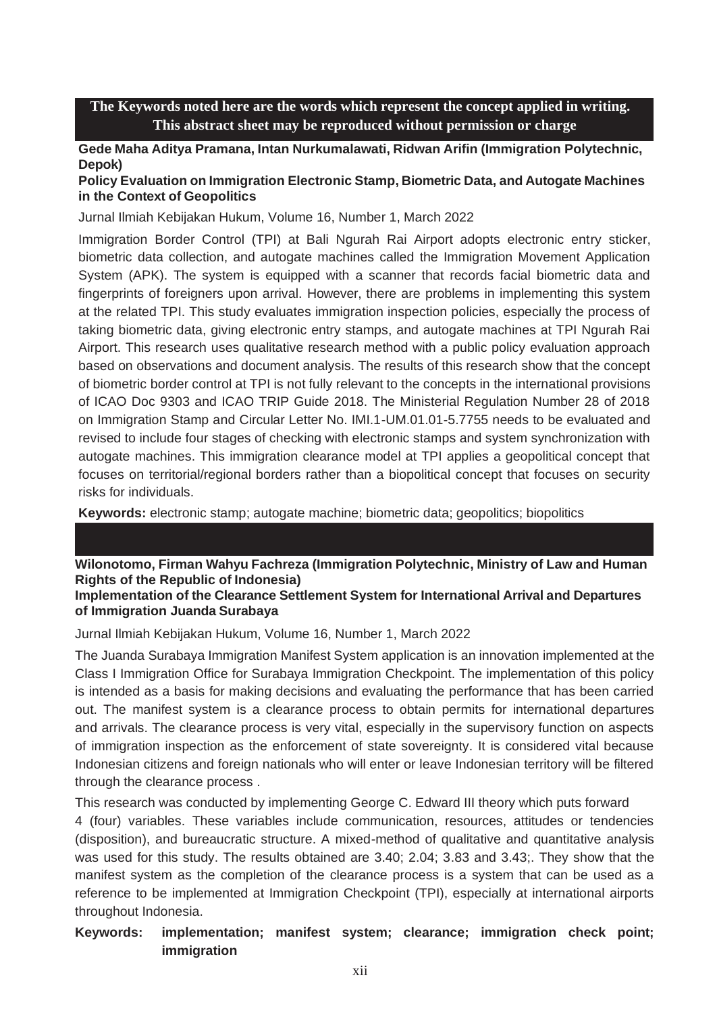**Gede Maha Aditya Pramana, Intan Nurkumalawati, Ridwan Arifin (Immigration Polytechnic, Depok)**

#### **Policy Evaluation on Immigration Electronic Stamp, Biometric Data, and Autogate Machines in the Context of Geopolitics**

Jurnal Ilmiah Kebijakan Hukum, Volume 16, Number 1, March 2022

Immigration Border Control (TPI) at Bali Ngurah Rai Airport adopts electronic entry sticker, biometric data collection, and autogate machines called the Immigration Movement Application System (APK). The system is equipped with a scanner that records facial biometric data and fingerprints of foreigners upon arrival. However, there are problems in implementing this system at the related TPI. This study evaluates immigration inspection policies, especially the process of taking biometric data, giving electronic entry stamps, and autogate machines at TPI Ngurah Rai Airport. This research uses qualitative research method with a public policy evaluation approach based on observations and document analysis. The results of this research show that the concept of biometric border control at TPI is not fully relevant to the concepts in the international provisions of ICAO Doc 9303 and ICAO TRIP Guide 2018. The Ministerial Regulation Number 28 of 2018 on Immigration Stamp and Circular Letter No. IMI.1-UM.01.01-5.7755 needs to be evaluated and revised to include four stages of checking with electronic stamps and system synchronization with autogate machines. This immigration clearance model at TPI applies a geopolitical concept that focuses on territorial/regional borders rather than a biopolitical concept that focuses on security risks for individuals.

**Keywords:** electronic stamp; autogate machine; biometric data; geopolitics; biopolitics

# **Wilonotomo, Firman Wahyu Fachreza (Immigration Polytechnic, Ministry of Law and Human Rights of the Republic of Indonesia)**

#### **Implementation of the Clearance Settlement System for International Arrival and Departures of Immigration Juanda Surabaya**

Jurnal Ilmiah Kebijakan Hukum, Volume 16, Number 1, March 2022

The Juanda Surabaya Immigration Manifest System application is an innovation implemented at the Class I Immigration Office for Surabaya Immigration Checkpoint. The implementation of this policy is intended as a basis for making decisions and evaluating the performance that has been carried out. The manifest system is a clearance process to obtain permits for international departures and arrivals. The clearance process is very vital, especially in the supervisory function on aspects of immigration inspection as the enforcement of state sovereignty. It is considered vital because Indonesian citizens and foreign nationals who will enter or leave Indonesian territory will be filtered through the clearance process .

This research was conducted by implementing George C. Edward III theory which puts forward 4 (four) variables. These variables include communication, resources, attitudes or tendencies (disposition), and bureaucratic structure. A mixed-method of qualitative and quantitative analysis was used for this study. The results obtained are 3.40; 2.04; 3.83 and 3.43;. They show that the manifest system as the completion of the clearance process is a system that can be used as a reference to be implemented at Immigration Checkpoint (TPI), especially at international airports throughout Indonesia.

#### **Keywords: implementation; manifest system; clearance; immigration check point; immigration**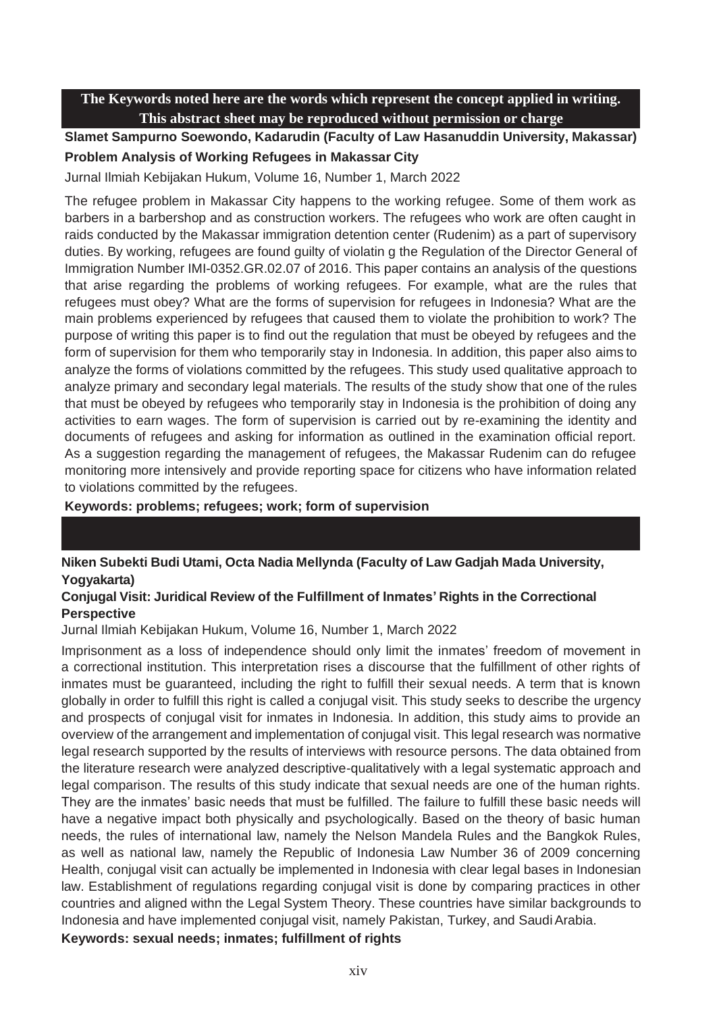**Slamet Sampurno Soewondo, Kadarudin (Faculty of Law Hasanuddin University, Makassar) Problem Analysis of Working Refugees in Makassar City**

Jurnal Ilmiah Kebijakan Hukum, Volume 16, Number 1, March 2022

The refugee problem in Makassar City happens to the working refugee. Some of them work as barbers in a barbershop and as construction workers. The refugees who work are often caught in raids conducted by the Makassar immigration detention center (Rudenim) as a part of supervisory duties. By working, refugees are found guilty of violatin g the Regulation of the Director General of Immigration Number IMI-0352.GR.02.07 of 2016. This paper contains an analysis of the questions that arise regarding the problems of working refugees. For example, what are the rules that refugees must obey? What are the forms of supervision for refugees in Indonesia? What are the main problems experienced by refugees that caused them to violate the prohibition to work? The purpose of writing this paper is to find out the regulation that must be obeyed by refugees and the form of supervision for them who temporarily stay in Indonesia. In addition, this paper also aims to analyze the forms of violations committed by the refugees. This study used qualitative approach to analyze primary and secondary legal materials. The results of the study show that one of the rules that must be obeyed by refugees who temporarily stay in Indonesia is the prohibition of doing any activities to earn wages. The form of supervision is carried out by re-examining the identity and documents of refugees and asking for information as outlined in the examination official report. As a suggestion regarding the management of refugees, the Makassar Rudenim can do refugee monitoring more intensively and provide reporting space for citizens who have information related to violations committed by the refugees.

**Keywords: problems; refugees; work; form of supervision**

# **Niken Subekti Budi Utami, Octa Nadia Mellynda (Faculty of Law Gadjah Mada University, Yogyakarta)**

#### **Conjugal Visit: Juridical Review of the Fulfillment of Inmates' Rights in the Correctional Perspective**

Jurnal Ilmiah Kebijakan Hukum, Volume 16, Number 1, March 2022

Imprisonment as a loss of independence should only limit the inmates' freedom of movement in a correctional institution. This interpretation rises a discourse that the fulfillment of other rights of inmates must be guaranteed, including the right to fulfill their sexual needs. A term that is known globally in order to fulfill this right is called a conjugal visit. This study seeks to describe the urgency and prospects of conjugal visit for inmates in Indonesia. In addition, this study aims to provide an overview of the arrangement and implementation of conjugal visit. This legal research was normative legal research supported by the results of interviews with resource persons. The data obtained from the literature research were analyzed descriptive-qualitatively with a legal systematic approach and legal comparison. The results of this study indicate that sexual needs are one of the human rights. They are the inmates' basic needs that must be fulfilled. The failure to fulfill these basic needs will have a negative impact both physically and psychologically. Based on the theory of basic human needs, the rules of international law, namely the Nelson Mandela Rules and the Bangkok Rules, as well as national law, namely the Republic of Indonesia Law Number 36 of 2009 concerning Health, conjugal visit can actually be implemented in Indonesia with clear legal bases in Indonesian law. Establishment of regulations regarding conjugal visit is done by comparing practices in other countries and aligned withn the Legal System Theory. These countries have similar backgrounds to Indonesia and have implemented conjugal visit, namely Pakistan, Turkey, and Saudi Arabia. **Keywords: sexual needs; inmates; fulfillment of rights**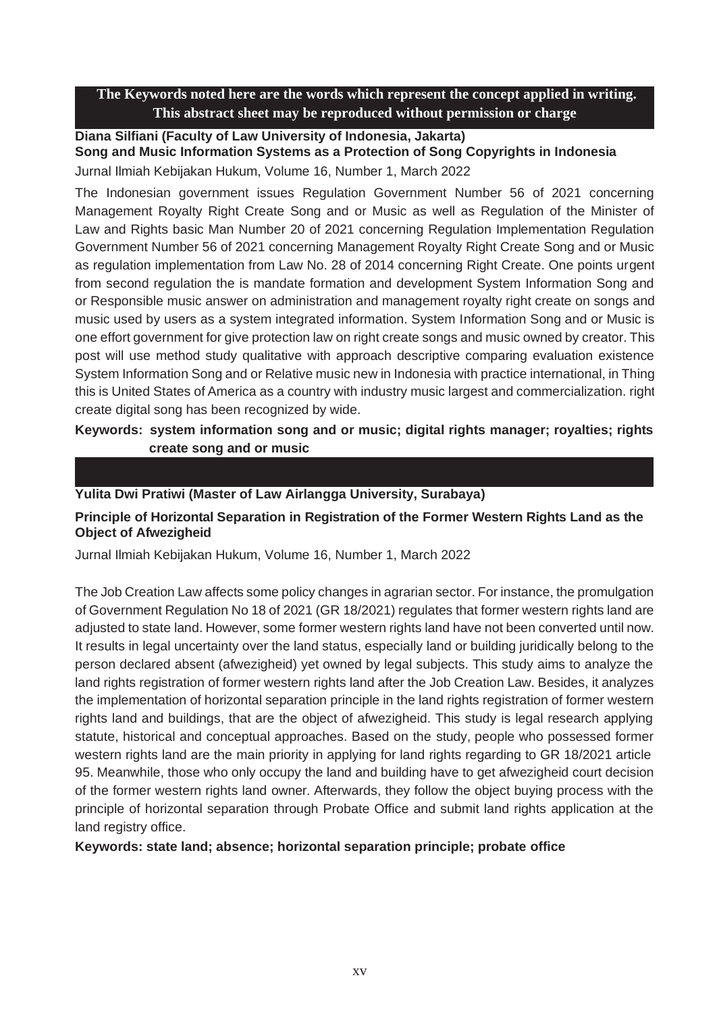#### **Diana Silfiani (Faculty of Law University of Indonesia, Jakarta) Song and Music Information Systems as a Protection of Song Copyrights in Indonesia** Jurnal Ilmiah Kebijakan Hukum, Volume 16, Number 1, March 2022

The Indonesian government issues Regulation Government Number 56 of 2021 concerning Management Royalty Right Create Song and or Music as well as Regulation of the Minister of Law and Rights basic Man Number 20 of 2021 concerning Regulation Implementation Regulation Government Number 56 of 2021 concerning Management Royalty Right Create Song and or Music as regulation implementation from Law No. 28 of 2014 concerning Right Create. One points urgent from second regulation the is mandate formation and development System Information Song and or Responsible music answer on administration and management royalty right create on songs and music used by users as a system integrated information. System Information Song and or Music is one effort government for give protection law on right create songs and music owned by creator. This post will use method study qualitative with approach descriptive comparing evaluation existence System Information Song and or Relative music new in Indonesia with practice international, in Thing this is United States of America as a country with industry music largest and commercialization. right create digital song has been recognized by wide.

# **Keywords: system information song and or music; digital rights manager; royalties; rights create song and or music**

#### **Yulita Dwi Pratiwi (Master of Law Airlangga University, Surabaya)**

# **Principle of Horizontal Separation in Registration of the Former Western Rights Land as the Object of Afwezigheid**

Jurnal Ilmiah Kebijakan Hukum, Volume 16, Number 1, March 2022

The Job Creation Law affects some policy changes in agrarian sector. For instance, the promulgation of Government Regulation No 18 of 2021 (GR 18/2021) regulates that former western rights land are adjusted to state land. However, some former western rights land have not been converted until now. It results in legal uncertainty over the land status, especially land or building juridically belong to the person declared absent (afwezigheid) yet owned by legal subjects. This study aims to analyze the land rights registration of former western rights land after the Job Creation Law. Besides, it analyzes the implementation of horizontal separation principle in the land rights registration of former western rights land and buildings, that are the object of afwezigheid. This study is legal research applying statute, historical and conceptual approaches. Based on the study, people who possessed former western rights land are the main priority in applying for land rights regarding to GR 18/2021 article 95. Meanwhile, those who only occupy the land and building have to get afwezigheid court decision of the former western rights land owner. Afterwards, they follow the object buying process with the principle of horizontal separation through Probate Office and submit land rights application at the land registry office.

## **Keywords: state land; absence; horizontal separation principle; probate office**